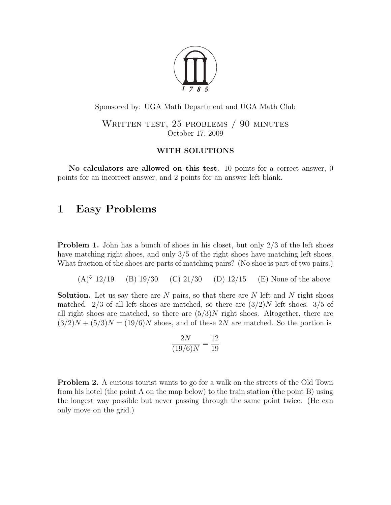

Sponsored by: UGA Math Department and UGA Math Club

WRITTEN TEST, 25 PROBLEMS / 90 MINUTES October 17, 2009

#### WITH SOLUTIONS

No calculators are allowed on this test. 10 points for a correct answer, 0 points for an incorrect answer, and 2 points for an answer left blank.

# 1 Easy Problems

**Problem 1.** John has a bunch of shoes in his closet, but only  $2/3$  of the left shoes have matching right shoes, and only 3/5 of the right shoes have matching left shoes. What fraction of the shoes are parts of matching pairs? (No shoe is part of two pairs.)

 $(A)^{\heartsuit}$  12/19 (B) 19/30 (C) 21/30 (D) 12/15 (E) None of the above

**Solution.** Let us say there are  $N$  pairs, so that there are  $N$  left and  $N$  right shoes matched. 2/3 of all left shoes are matched, so there are  $(3/2)N$  left shoes. 3/5 of all right shoes are matched, so there are  $(5/3)N$  right shoes. Altogether, there are  $(3/2)N + (5/3)N = (19/6)N$  shoes, and of these 2N are matched. So the portion is

$$
\frac{2N}{(19/6)N} = \frac{12}{19}
$$

Problem 2. A curious tourist wants to go for a walk on the streets of the Old Town from his hotel (the point A on the map below) to the train station (the point B) using the longest way possible but never passing through the same point twice. (He can only move on the grid.)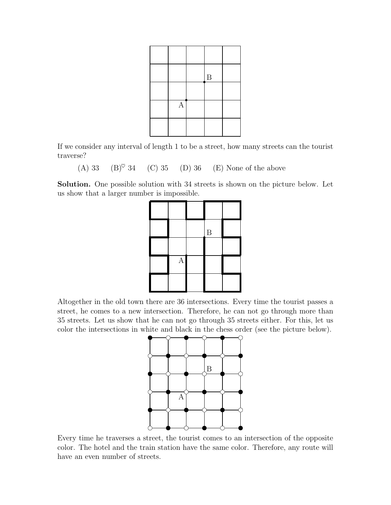|              | $\boldsymbol{B}$ |  |
|--------------|------------------|--|
|              |                  |  |
| $\mathbf{A}$ |                  |  |
|              |                  |  |

If we consider any interval of length 1 to be a street, how many streets can the tourist traverse?

(A) 33 (B)<sup> $\heartsuit$ </sup> 34 (C) 35 (D) 36 (E) None of the above

Solution. One possible solution with 34 streets is shown on the picture below. Let us show that a larger number is impossible.



Altogether in the old town there are 36 intersections. Every time the tourist passes a street, he comes to a new intersection. Therefore, he can not go through more than 35 streets. Let us show that he can not go through 35 streets either. For this, let us color the intersections in white and black in the chess order (see the picture below).



Every time he traverses a street, the tourist comes to an intersection of the opposite color. The hotel and the train station have the same color. Therefore, any route will have an even number of streets.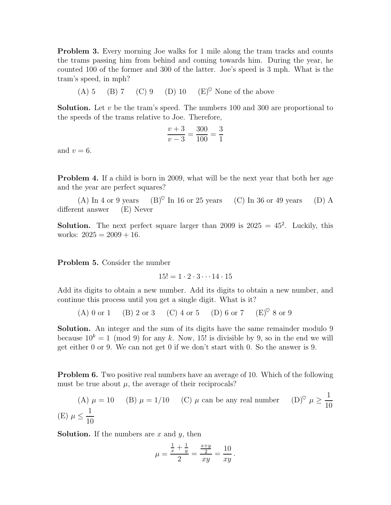**Problem 3.** Every morning Joe walks for 1 mile along the tram tracks and counts the trams passing him from behind and coming towards him. During the year, he counted 100 of the former and 300 of the latter. Joe's speed is 3 mph. What is the tram's speed, in mph?

(A) 5 (B) 7 (C) 9 (D) 10 (E)<sup> $\heartsuit$ </sup> None of the above

**Solution.** Let  $v$  be the tram's speed. The numbers 100 and 300 are proportional to the speeds of the trams relative to Joe. Therefore,

$$
\frac{v+3}{v-3} = \frac{300}{100} = \frac{3}{1}
$$

and  $v = 6$ .

**Problem 4.** If a child is born in 2009, what will be the next year that both her age and the year are perfect squares?

(A) In 4 or 9 years (B) $\degree$  In 16 or 25 years (C) In 36 or 49 years (D) A different answer (E) Never

**Solution.** The next perfect square larger than 2009 is  $2025 = 45^2$ . Luckily, this works:  $2025 = 2009 + 16$ .

Problem 5. Consider the number

$$
15! = 1 \cdot 2 \cdot 3 \cdots 14 \cdot 15
$$

Add its digits to obtain a new number. Add its digits to obtain a new number, and continue this process until you get a single digit. What is it?

(A) 0 or 1 (B) 2 or 3 (C) 4 or 5 (D) 6 or 7  $(E)^\heartsuit$  8 or 9

Solution. An integer and the sum of its digits have the same remainder modulo 9 because  $10^k = 1 \pmod{9}$  for any k. Now, 15! is divisible by 9, so in the end we will get either 0 or 9. We can not get 0 if we don't start with 0. So the answer is 9.

**Problem 6.** Two positive real numbers have an average of 10. Which of the following must be true about  $\mu$ , the average of their reciprocals?

(A) 
$$
\mu = 10
$$
 (B)  $\mu = 1/10$  (C)  $\mu$  can be any real number (D)<sup>°</sup>  $\mu \ge \frac{1}{10}$   
(E)  $\mu \le \frac{1}{10}$ 

**Solution.** If the numbers are  $x$  and  $y$ , then

$$
\mu = \frac{\frac{1}{x} + \frac{1}{y}}{2} = \frac{\frac{x+y}{2}}{xy} = \frac{10}{xy}.
$$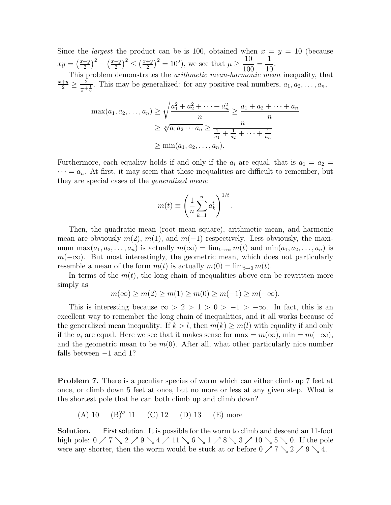Since the *largest* the product can be is 100, obtained when  $x = y = 10$  (because  $xy = \left(\frac{x+y}{2}\right)$  $\left(\frac{y+y}{2}\right)^2 - \left(\frac{x-y}{2}\right)^2 \le \left(\frac{x+y}{2}\right)$  $(\frac{+y}{2})^2 = 10^2$ , we see that  $\mu \ge$ 10 100 = 1 10 .

This problem demonstrates the *arithmetic mean-harmonic mean* inequality, that  $\frac{x+y}{2} \ge \frac{2}{\frac{1}{x} + \frac{1}{y}}$ . This may be generalized: for any positive real numbers,  $a_1, a_2, \ldots, a_n$ ,

$$
\max(a_1, a_2, \dots, a_n) \ge \sqrt{\frac{a_1^2 + a_2^2 + \dots + a_n^2}{n}} \ge \frac{a_1 + a_2 + \dots + a_n}{n}
$$
  
 
$$
\ge \sqrt[n]{a_1 a_2 \cdots a_n} \ge \frac{n}{\frac{1}{a_1} + \frac{1}{a_2} + \dots + \frac{1}{a_n}}
$$
  
 
$$
\ge \min(a_1, a_2, \dots, a_n).
$$

Furthermore, each equality holds if and only if the  $a_i$  are equal, that is  $a_1 = a_2$  $\cdots = a_n$ . At first, it may seem that these inequalities are difficult to remember, but they are special cases of the generalized mean:

$$
m(t) \equiv \left(\frac{1}{n}\sum_{k=1}^{n} a_k^t\right)^{1/t}.
$$

Then, the quadratic mean (root mean square), arithmetic mean, and harmonic mean are obviously  $m(2), m(1),$  and  $m(-1)$  respectively. Less obviously, the maximum max $(a_1, a_2, \ldots, a_n)$  is actually  $m(\infty) = \lim_{t \to \infty} m(t)$  and  $\min(a_1, a_2, \ldots, a_n)$  is  $m(-\infty)$ . But most interestingly, the geometric mean, which does not particularly resemble a mean of the form  $m(t)$  is actually  $m(0) = \lim_{t\to 0} m(t)$ .

In terms of the  $m(t)$ , the long chain of inequalities above can be rewritten more simply as

$$
m(\infty) \ge m(2) \ge m(1) \ge m(0) \ge m(-1) \ge m(-\infty).
$$

This is interesting because  $\infty > 2 > 1 > 0 > -1 > -\infty$ . In fact, this is an excellent way to remember the long chain of inequalities, and it all works because of the generalized mean inequality: If  $k > l$ , then  $m(k) \geq m(l)$  with equality if and only if the  $a_i$  are equal. Here we see that it makes sense for max =  $m(\infty)$ , min =  $m(-\infty)$ , and the geometric mean to be  $m(0)$ . After all, what other particularly nice number falls between −1 and 1?

**Problem 7.** There is a peculiar species of worm which can either climb up 7 feet at once, or climb down 5 feet at once, but no more or less at any given step. What is the shortest pole that he can both climb up and climb down?

(A) 10 (B)♥ 11 (C) 12 (D) 13 (E) more

Solution. First solution. It is possible for the worm to climb and descend an 11-foot high pole:  $0 \nearrow 7 \searrow 2 \nearrow 9 \searrow 4 \nearrow 11 \searrow 6 \searrow 1 \nearrow 8 \searrow 3 \nearrow 10 \searrow 5 \searrow 0$ . If the pole were any shorter, then the worm would be stuck at or before  $0 \nearrow 7 \searrow 2 \nearrow 9 \searrow 4$ .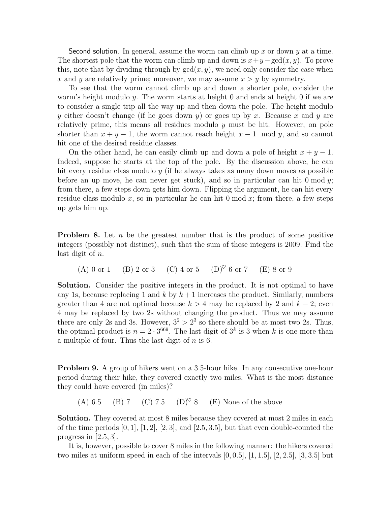Second solution. In general, assume the worm can climb up x or down y at a time. The shortest pole that the worm can climb up and down is  $x+y-\gcd(x, y)$ . To prove this, note that by dividing through by  $gcd(x, y)$ , we need only consider the case when x and y are relatively prime; moreover, we may assume  $x > y$  by symmetry.

To see that the worm cannot climb up and down a shorter pole, consider the worm's height modulo  $y$ . The worm starts at height 0 and ends at height 0 if we are to consider a single trip all the way up and then down the pole. The height modulo y either doesn't change (if he goes down y) or goes up by x. Because x and y are relatively prime, this means all residues modulo  $y$  must be hit. However, on pole shorter than  $x + y - 1$ , the worm cannot reach height  $x - 1$  mod y, and so cannot hit one of the desired residue classes.

On the other hand, he can easily climb up and down a pole of height  $x + y - 1$ . Indeed, suppose he starts at the top of the pole. By the discussion above, he can hit every residue class modulo  $y$  (if he always takes as many down moves as possible before an up move, he can never get stuck), and so in particular can hit  $0 \mod y$ ; from there, a few steps down gets him down. Flipping the argument, he can hit every residue class modulo x, so in particular he can hit 0 mod x; from there, a few steps up gets him up.

**Problem 8.** Let n be the greatest number that is the product of some positive integers (possibly not distinct), such that the sum of these integers is 2009. Find the last digit of n.

(A) 0 or 1 (B) 2 or 3 (C) 4 or 5 (D)<sup> $\heartsuit$ </sup> 6 or 7 (E) 8 or 9

Solution. Consider the positive integers in the product. It is not optimal to have any 1s, because replacing 1 and k by  $k+1$  increases the product. Similarly, numbers greater than 4 are not optimal because  $k > 4$  may be replaced by 2 and  $k - 2$ ; even 4 may be replaced by two 2s without changing the product. Thus we may assume there are only 2s and 3s. However,  $3^2 > 2^3$  so there should be at most two 2s. Thus, the optimal product is  $n = 2 \cdot 3^{669}$ . The last digit of  $3^k$  is 3 when k is one more than a multiple of four. Thus the last digit of  $n$  is 6.

**Problem 9.** A group of hikers went on a 3.5-hour hike. In any consecutive one-hour period during their hike, they covered exactly two miles. What is the most distance they could have covered (in miles)?

(A) 6.5 (B) 7 (C) 7.5 (D)<sup> $\heartsuit$ </sup> 8 (E) None of the above

Solution. They covered at most 8 miles because they covered at most 2 miles in each of the time periods  $[0, 1]$ ,  $[1, 2]$ ,  $[2, 3]$ , and  $[2.5, 3.5]$ , but that even double-counted the progress in  $[2.5, 3]$ .

It is, however, possible to cover 8 miles in the following manner: the hikers covered two miles at uniform speed in each of the intervals  $[0, 0.5]$ ,  $[1, 1.5]$ ,  $[2, 2.5]$ ,  $[3, 3.5]$  but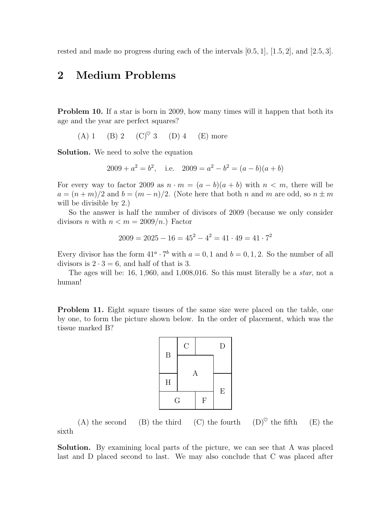rested and made no progress during each of the intervals  $[0.5, 1]$ ,  $[1.5, 2]$ , and  $[2.5, 3]$ .

# 2 Medium Problems

Problem 10. If a star is born in 2009, how many times will it happen that both its age and the year are perfect squares?

(A) 1 (B) 2 (C)<sup> $\heartsuit$ </sup> 3 (D) 4 (E) more

Solution. We need to solve the equation

$$
2009 + a2 = b2, \quad \text{i.e.} \quad 2009 = a2 - b2 = (a - b)(a + b)
$$

For every way to factor 2009 as  $n \cdot m = (a - b)(a + b)$  with  $n < m$ , there will be  $a = (n+m)/2$  and  $b = (m-n)/2$ . (Note here that both n and m are odd, so  $n \pm m$ will be divisible by 2.)

So the answer is half the number of divisors of 2009 (because we only consider divisors *n* with  $n < m = 2009/n$ .) Factor

$$
2009 = 2025 - 16 = 45^2 - 4^2 = 41 \cdot 49 = 41 \cdot 7^2
$$

Every divisor has the form  $41^a \cdot 7^b$  with  $a = 0, 1$  and  $b = 0, 1, 2$ . So the number of all divisors is  $2 \cdot 3 = 6$ , and half of that is 3.

The ages will be: 16, 1,960, and 1,008,016. So this must literally be a star, not a human!

**Problem 11.** Eight square tissues of the same size were placed on the table, one by one, to form the picture shown below. In the order of placement, which was the tissue marked B?



(A) the second (B) the third (C) the fourth  $(D)^\heartsuit$  the fifth (E) the sixth

Solution. By examining local parts of the picture, we can see that A was placed last and D placed second to last. We may also conclude that C was placed after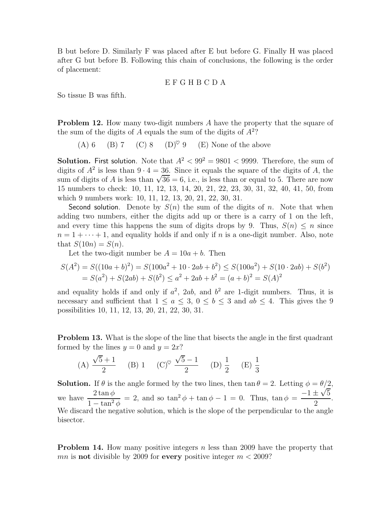B but before D. Similarly F was placed after E but before G. Finally H was placed after G but before B. Following this chain of conclusions, the following is the order of placement:

#### E F G H B C D A

So tissue B was fifth.

**Problem 12.** How many two-digit numbers A have the property that the square of the sum of the digits of  $A$  equals the sum of the digits of  $A<sup>2</sup>$ ?

(A) 6 (B) 7 (C) 8 (D)<sup> $\heartsuit$ </sup> 9 (E) None of the above

**Solution.** First solution. Note that  $A^2 < 99^2 = 9801 < 9999$ . Therefore, the sum of digits of  $A^2$  is less than  $9 \cdot 4 = 36$ . Since it equals the square of the digits of A, the sum of digits of A is less than  $\sqrt{36} = 6$ , i.e., is less than or equal to 5. There are now 15 numbers to check: 10, 11, 12, 13, 14, 20, 21, 22, 23, 30, 31, 32, 40, 41, 50, from which 9 numbers work: 10, 11, 12, 13, 20, 21, 22, 30, 31.

Second solution. Denote by  $S(n)$  the sum of the digits of n. Note that when adding two numbers, either the digits add up or there is a carry of 1 on the left, and every time this happens the sum of digits drops by 9. Thus,  $S(n) \leq n$  since  $n = 1 + \cdots + 1$ , and equality holds if and only if n is a one-digit number. Also, note that  $S(10n) = S(n)$ .

Let the two-digit number be  $A = 10a + b$ . Then

$$
S(A^{2}) = S((10a + b)^{2}) = S(100a^{2} + 10 \cdot 2ab + b^{2}) \le S(100a^{2}) + S(10 \cdot 2ab) + S(b^{2})
$$
  
=  $S(a^{2}) + S(2ab) + S(b^{2}) \le a^{2} + 2ab + b^{2} = (a + b)^{2} = S(A)^{2}$ 

and equality holds if and only if  $a^2$ ,  $2ab$ , and  $b^2$  are 1-digit numbers. Thus, it is necessary and sufficient that  $1 \le a \le 3$ ,  $0 \le b \le 3$  and  $ab \le 4$ . This gives the 9 possibilities 10, 11, 12, 13, 20, 21, 22, 30, 31.

**Problem 13.** What is the slope of the line that bisects the angle in the first quadrant formed by the lines  $y = 0$  and  $y = 2x$ ?

(A) 
$$
\frac{\sqrt{5}+1}{2}
$$
 (B) 1 (C)<sup>°</sup>  $\frac{\sqrt{5}-1}{2}$  (D)  $\frac{1}{2}$  (E)  $\frac{1}{3}$ 

**Solution.** If  $\theta$  is the angle formed by the two lines, then  $\tan \theta = 2$ . Letting  $\phi = \theta/2$ , we have  $\frac{2 \tan \phi}{1}$  $1 - \tan^2 \phi$ = 2, and so  $\tan^2 \phi + \tan \phi - 1 = 0$ . Thus,  $\tan \phi = \frac{-1 \pm \sqrt{5}}{2}$ 2 . We discard the negative solution, which is the slope of the perpendicular to the angle bisector.

**Problem 14.** How many positive integers n less than 2009 have the property that mn is **not** divisible by 2009 for every positive integer  $m < 2009$ ?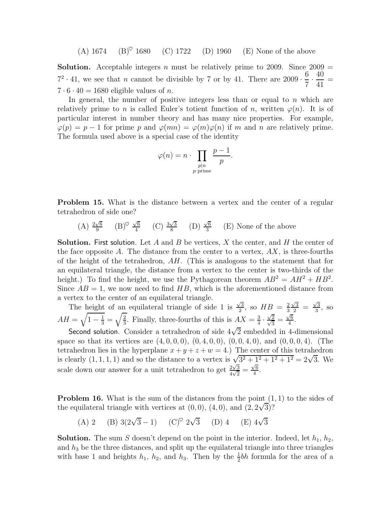(A) 1674 (B)<sup> $\heartsuit$ </sup> 1680 (C) 1722 (D) 1960 (E) None of the above

**Solution.** Acceptable integers n must be relatively prime to 2009. Since  $2009 =$  $7^2 \cdot 41$ , we see that *n* cannot be divisible by 7 or by 41. There are  $2009 \cdot$ 6  $\overline{7}$  . 40 41 =  $7 \cdot 6 \cdot 40 = 1680$  eligible values of *n*.

In general, the number of positive integers less than or equal to  $n$  which are relatively prime to n is called Euler's totient function of n, written  $\varphi(n)$ . It is of particular interest in number theory and has many nice properties. For example,  $\varphi(p) = p - 1$  for prime p and  $\varphi(mn) = \varphi(m)\varphi(n)$  if m and n are relatively prime. The formula used above is a special case of the identity

$$
\varphi(n) = n \cdot \prod_{\substack{p|n \\ p \text{ prime}}} \frac{p-1}{p}.
$$

**Problem 15.** What is the distance between a vertex and the center of a regular tetrahedron of side one?

 $(A) \frac{2\sqrt{6}}{9}$  $\frac{\sqrt{6}}{9}$   $(B)^\heartsuit \frac{\sqrt{6}}{4}$  $\frac{\sqrt{6}}{4}$  (C)  $\frac{3\sqrt{3}}{8}$  $\frac{\sqrt{3}}{8}$  (D)  $\frac{\sqrt{6}}{3}$  $\frac{\sqrt{6}}{3}$  (E) None of the above

**Solution.** First solution. Let A and B be vertices, X the center, and H the center of the face opposite A. The distance from the center to a vertex,  $AX$ , is three-fourths of the height of the tetrahedron,  $AH$ . (This is analogous to the statement that for an equilateral triangle, the distance from a vertex to the center is two-thirds of the height.) To find the height, we use the Pythagorean theorem  $AB^2 = AH^2 + HB^2$ . Since  $AB = 1$ , we now need to find HB, which is the aforementioned distance from a vertex to the center of an equilateral triangle.

The height of an equilateral triangle of side 1 is  $\frac{\sqrt{3}}{2}$  $\frac{\sqrt{3}}{2}$ , so  $HB = \frac{2}{3}$ 3  $\frac{\sqrt{3}}{2} = \frac{\sqrt{3}}{3}$  $\frac{\sqrt{3}}{3}$ , so  $AH = \sqrt{1 - \frac{1}{3}} = \sqrt{\frac{2}{3}}$  $\frac{2}{3}$ . Finally, three-fourths of this is  $AX = \frac{3}{4}$  $\frac{3}{4}$ . √  $\frac{\sqrt{2}}{\sqrt{2}}$  $\frac{2}{3} = \frac{\sqrt{6}}{4}$  $\frac{\sqrt{6}}{4}$ .

Second solution. Consider a tetrahedron of side  $4\sqrt{2}$  embedded in 4-dimensional space so that its vertices are  $(4, 0, 0, 0)$ ,  $(0, 4, 0, 0)$ ,  $(0, 0, 4, 0)$ , and  $(0, 0, 0, 4)$ . (The tetrahedron lies in the hyperplane  $x + y + z + w = 4$ .) The center of this tetrahedron is clearly  $(1, 1, 1, 1)$  and so the distance to a vertex is  $\sqrt{3^2 + 1^2 + 1^2 + 1^2} = 2\sqrt{3}$ . We scale down our answer for a unit tetrahedron to get  $\frac{2\sqrt{3}}{4\sqrt{2}}$  $\frac{2\sqrt{3}}{4\sqrt{2}} = \frac{\sqrt{6}}{4}$  $\frac{\sqrt{6}}{4}$ .

**Problem 16.** What is the sum of the distances from the point  $(1, 1)$  to the sides of the equilateral triangle with vertices at  $(0,0)$ ,  $(4,0)$ , and  $(2, 2\sqrt{3})$ ?

(A) 2 (B) 
$$
3(2\sqrt{3}-1)
$$
 (C)<sup>°</sup>  $2\sqrt{3}$  (D) 4 (E)  $4\sqrt{3}$ 

**Solution.** The sum S doesn't depend on the point in the interior. Indeed, let  $h_1$ ,  $h_2$ , and  $h_3$  be the three distances, and split up the equilateral triangle into three triangles with base 1 and heights  $h_1$ ,  $h_2$ , and  $h_3$ . Then by the  $\frac{1}{2}bh$  formula for the area of a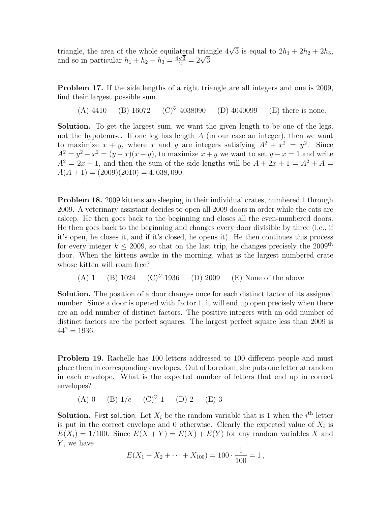triangle, the area of the whole equilateral triangle  $4\sqrt{3}$  is equal to  $2h_1 + 2h_2 + 2h_3$ , and so in particular  $h_1 + h_2 + h_3 = \frac{4\sqrt{3}}{2} = 2\sqrt{3}$ .

Problem 17. If the side lengths of a right triangle are all integers and one is 2009, find their largest possible sum.

(A) 4410 (B) 16072 (C)<sup> $\heartsuit$ </sup> 4038090 (D) 4040099 (E) there is none.

Solution. To get the largest sum, we want the given length to be one of the legs, not the hypotenuse. If one leg has length  $A$  (in our case an integer), then we want to maximize  $x + y$ , where x and y are integers satisfying  $A^2 + x^2 = y^2$ . Since  $A^2 = y^2 - x^2 = (y - x)(x + y)$ , to maximize  $x + y$  we want to set  $y - x = 1$  and write  $A^{2} = 2x + 1$ , and then the sum of the side lengths will be  $A + 2x + 1 = A^{2} + A =$  $A(A + 1) = (2009)(2010) = 4,038,090.$ 

**Problem 18.** 2009 kittens are sleeping in their individual crates, numbered 1 through 2009. A veterinary assistant decides to open all 2009 doors in order while the cats are asleep. He then goes back to the beginning and closes all the even-numbered doors. He then goes back to the beginning and changes every door divisible by three (i.e., if it's open, he closes it, and if it's closed, he opens it). He then continues this process for every integer  $k \leq 2009$ , so that on the last trip, he changes precisely the  $2009<sup>th</sup>$ door. When the kittens awake in the morning, what is the largest numbered crate whose kitten will roam free?

(A) 1 (B) 1024 (C)♥ 1936 (D) 2009 (E) None of the above

Solution. The position of a door changes once for each distinct factor of its assigned number. Since a door is opened with factor 1, it will end up open precisely when there are an odd number of distinct factors. The positive integers with an odd number of distinct factors are the perfect squares. The largest perfect square less than 2009 is  $44^2 = 1936.$ 

Problem 19. Rachelle has 100 letters addressed to 100 different people and must place them in corresponding envelopes. Out of boredom, she puts one letter at random in each envelope. What is the expected number of letters that end up in correct envelopes?

(A) 0 (B)  $1/e$  (C)<sup> $\heartsuit$ </sup> 1 (D) 2 (E) 3

**Solution.** First solution: Let  $X_i$  be the random variable that is 1 when the  $i^{\text{th}}$  letter is put in the correct envelope and 0 otherwise. Clearly the expected value of  $X_i$  is  $E(X_i) = 1/100$ . Since  $E(X + Y) = E(X) + E(Y)$  for any random variables X and Y, we have

$$
E(X_1 + X_2 + \cdots + X_{100}) = 100 \cdot \frac{1}{100} = 1,
$$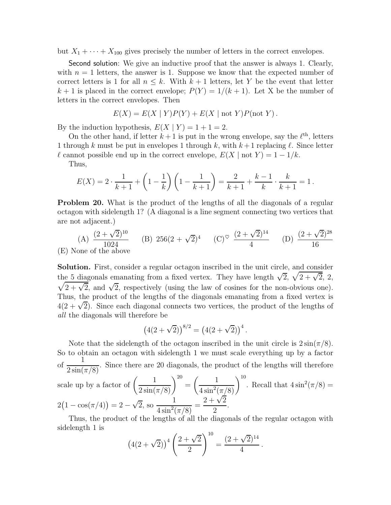but  $X_1 + \cdots + X_{100}$  gives precisely the number of letters in the correct envelopes.

Second solution: We give an inductive proof that the answer is always 1. Clearly, with  $n = 1$  letters, the answer is 1. Suppose we know that the expected number of correct letters is 1 for all  $n \leq k$ . With  $k+1$  letters, let Y be the event that letter  $k+1$  is placed in the correct envelope;  $P(Y) = 1/(k+1)$ . Let X be the number of letters in the correct envelopes. Then

$$
E(X) = E(X | Y)P(Y) + E(X | \text{not } Y)P(\text{not } Y).
$$

By the induction hypothesis,  $E(X | Y) = 1 + 1 = 2$ .

On the other hand, if letter  $k+1$  is put in the wrong envelope, say the  $\ell^{\text{th}}$ , letters 1 through k must be put in envelopes 1 through k, with  $k+1$  replacing  $\ell$ . Since letter  $\ell$  cannot possible end up in the correct envelope,  $E(X | \text{not } Y) = 1 - 1/k$ .

Thus,

$$
E(X) = 2 \cdot \frac{1}{k+1} + \left(1 - \frac{1}{k}\right) \left(1 - \frac{1}{k+1}\right) = \frac{2}{k+1} + \frac{k-1}{k} \cdot \frac{k}{k+1} = 1.
$$

**Problem 20.** What is the product of the lengths of all the diagonals of a regular octagon with sidelength 1? (A diagonal is a line segment connecting two vertices that are not adjacent.)

(A) 
$$
\frac{(2+\sqrt{2})^{10}}{1024}
$$
 (B)  $256(2+\sqrt{2})^4$  (C)<sup>°</sup>  $\frac{(2+\sqrt{2})^{14}}{4}$  (D)  $\frac{(2+\sqrt{2})^{28}}{16}$   
(E) None of the above

Solution. First, consider a regular octagon inscribed in the unit circle, and consider the 5 diagonals emanating from a fixed vertex. They have length  $\sqrt{2}$ ,  $\sqrt{2 + \sqrt{2}}$ , 2,  $\sqrt{2+\sqrt{2}}$ , and  $\sqrt{2}$ , respectively (using the law of cosines for the non-obvious one). Thus, the product of the lengths of the diagonals emanating from a fixed vertex is  $4(2+\sqrt{2})$ . Since each diagonal connects two vertices, the product of the lengths of all the diagonals will therefore be

$$
(4(2+\sqrt{2}))^{8/2} = (4(2+\sqrt{2}))^4.
$$

Note that the sidelength of the octagon inscribed in the unit circle is  $2\sin(\pi/8)$ . So to obtain an octagon with sidelength 1 we must scale everything up by a factor of  $\frac{1}{\sqrt{1-\frac{1}{2}}}$  $\frac{1}{2\sin(\pi/8)}$ . Since there are 20 diagonals, the product of the lengths will therefore

scale up by a factor of 
$$
\left(\frac{1}{2\sin(\pi/8)}\right)^{20} = \left(\frac{1}{4\sin^2(\pi/8)}\right)^{10}
$$
. Recall that  $4\sin^2(\pi/8) = 2\left(1 - \cos(\pi/4)\right) = 2 - \sqrt{2}$ , so  $\frac{1}{4\sin^2(\pi/8)} = \frac{2 + \sqrt{2}}{2}$ .

Thus, the product of the lengths of all the diagonals of the regular octagon with sidelength 1 is

$$
(4(2+\sqrt{2}))^{4} \left(\frac{2+\sqrt{2}}{2}\right)^{10} = \frac{(2+\sqrt{2})^{14}}{4}.
$$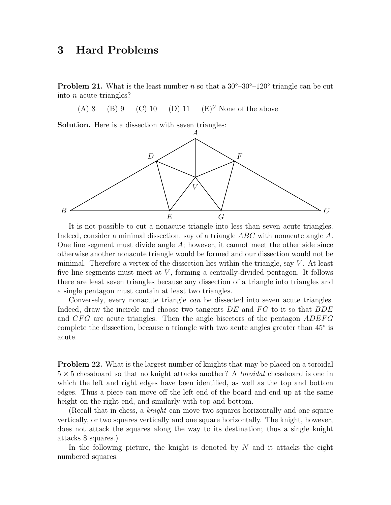## 3 Hard Problems

**Problem 21.** What is the least number n so that a  $30^{\circ} - 30^{\circ} - 120^{\circ}$  triangle can be cut into n acute triangles?

(A) 8 (B) 9 (C) 10 (D) 11 (E)<sup> $\heartsuit$ </sup> None of the above

Solution. Here is a dissection with seven triangles:



It is not possible to cut a nonacute triangle into less than seven acute triangles. Indeed, consider a minimal dissection, say of a triangle  $ABC$  with nonacute angle A. One line segment must divide angle  $A$ ; however, it cannot meet the other side since otherwise another nonacute triangle would be formed and our dissection would not be minimal. Therefore a vertex of the dissection lies within the triangle, say  $V$ . At least five line segments must meet at  $V$ , forming a centrally-divided pentagon. It follows there are least seven triangles because any dissection of a triangle into triangles and a single pentagon must contain at least two triangles.

Conversely, every nonacute triangle can be dissected into seven acute triangles. Indeed, draw the incircle and choose two tangents  $DE$  and  $FG$  to it so that  $BDE$ and  $CFG$  are acute triangles. Then the angle bisectors of the pentagon  $ADEFG$ complete the dissection, because a triangle with two acute angles greater than 45◦ is acute.

**Problem 22.** What is the largest number of knights that may be placed on a toroidal  $5 \times 5$  chessboard so that no knight attacks another? A *toroidal* chessboard is one in which the left and right edges have been identified, as well as the top and bottom edges. Thus a piece can move off the left end of the board and end up at the same height on the right end, and similarly with top and bottom.

(Recall that in chess, a knight can move two squares horizontally and one square vertically, or two squares vertically and one square horizontally. The knight, however, does not attack the squares along the way to its destination; thus a single knight attacks 8 squares.)

In the following picture, the knight is denoted by  $N$  and it attacks the eight numbered squares.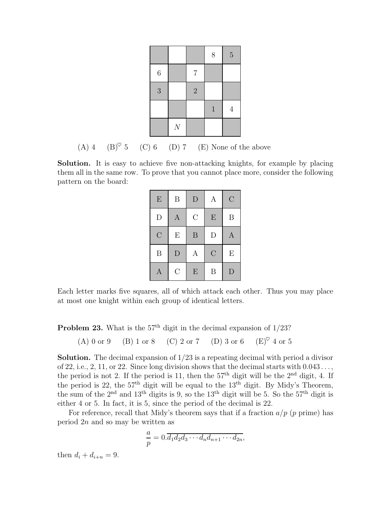|         |                |                | 8            | $\overline{5}$ |
|---------|----------------|----------------|--------------|----------------|
| $\,6\,$ |                | $\overline{7}$ |              |                |
| 3       |                | $\overline{2}$ |              |                |
|         |                |                | $\mathbf{1}$ | $\overline{4}$ |
|         | $\overline{N}$ |                |              |                |

(A) 4 (B) $\degree$  5 (C) 6 (D) 7 (E) None of the above

Solution. It is easy to achieve five non-attacking knights, for example by placing them all in the same row. To prove that you cannot place more, consider the following pattern on the board:

| E                | B                | $\mathbf{D}$   | A             | $\overline{C}$   |
|------------------|------------------|----------------|---------------|------------------|
| $\mathbf{D}$     | $\boldsymbol{A}$ | $\mathcal{C}$  | E             | $\boldsymbol{B}$ |
| $\overline{C}$   | E                | $\overline{B}$ | D             | $\mathbf{A}$     |
| B                | D                | Α              | $\mathcal{C}$ | E                |
| $\boldsymbol{A}$ | $\overline{C}$   | E              | B             | $\mathbf{D}$     |

Each letter marks five squares, all of which attack each other. Thus you may place at most one knight within each group of identical letters.

**Problem 23.** What is the  $57<sup>th</sup>$  digit in the decimal expansion of  $1/23$ ?

(A) 0 or 9 (B) 1 or 8 (C) 2 or 7 (D) 3 or 6 (E)♥ 4 or 5

Solution. The decimal expansion of 1/23 is a repeating decimal with period a divisor of 22, i.e., 2, 11, or 22. Since long division shows that the decimal starts with  $0.043...$ , the period is not 2. If the period is 11, then the  $57<sup>th</sup>$  digit will be the  $2<sup>nd</sup>$  digit, 4. If the period is 22, the 57th digit will be equal to the 13th digit. By Midy's Theorem, the sum of the 2nd and 13th digits is 9, so the 13th digit will be 5. So the 57th digit is either 4 or 5. In fact, it is 5, since the period of the decimal is 22.

For reference, recall that Midy's theorem says that if a fraction  $a/p$  (p prime) has period 2n and so may be written as

$$
\frac{a}{p} = 0.\overline{d_1d_2d_3\cdots d_nd_{n+1}\cdots d_{2n}},
$$

then  $d_i + d_{i+n} = 9$ .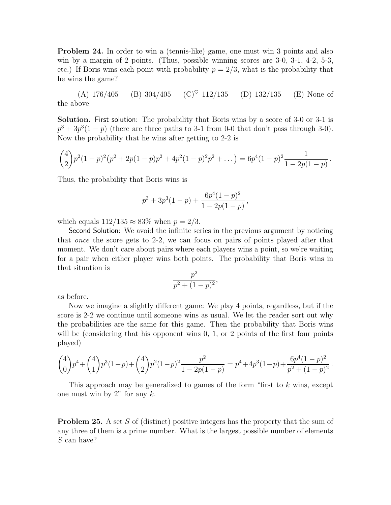**Problem 24.** In order to win a (tennis-like) game, one must win 3 points and also win by a margin of 2 points. (Thus, possible winning scores are 3-0, 3-1, 4-2, 5-3, etc.) If Boris wins each point with probability  $p = 2/3$ , what is the probability that he wins the game?

(A)  $176/405$  (B)  $304/405$  (C)<sup> $\heartsuit$ </sup>  $112/135$  (D)  $132/135$  (E) None of the above

Solution. First solution: The probability that Boris wins by a score of 3-0 or 3-1 is  $p^3 + 3p^3(1-p)$  (there are three paths to 3-1 from 0-0 that don't pass through 3-0). Now the probability that he wins after getting to 2-2 is

$$
{4 \choose 2} p^2 (1-p)^2 (p^2+2p(1-p)p^2+4p^2(1-p)^2p^2+\dots) = 6p^4(1-p)^2 \frac{1}{1-2p(1-p)}.
$$

Thus, the probability that Boris wins is

$$
p^3 + 3p^3(1-p) + \frac{6p^4(1-p)^2}{1-2p(1-p)},
$$

which equals  $112/135 \approx 83\%$  when  $p = 2/3$ .

Second Solution: We avoid the infinite series in the previous argument by noticing that once the score gets to 2-2, we can focus on pairs of points played after that moment. We don't care about pairs where each players wins a point, so we're waiting for a pair when either player wins both points. The probability that Boris wins in that situation is

$$
\frac{p^2}{p^2 + (1-p)^2},
$$

as before.

Now we imagine a slightly different game: We play 4 points, regardless, but if the score is 2-2 we continue until someone wins as usual. We let the reader sort out why the probabilities are the same for this game. Then the probability that Boris wins will be (considering that his opponent wins 0, 1, or 2 points of the first four points played)

$$
\binom{4}{0} p^4 + \binom{4}{1} p^3 (1-p) + \binom{4}{2} p^2 (1-p)^2 \frac{p^2}{1-2p(1-p)} = p^4 + 4p^3 (1-p) + \frac{6p^4 (1-p)^2}{p^2 + (1-p)^2}.
$$

This approach may be generalized to games of the form "first to k wins, except one must win by 2" for any  $k$ .

**Problem 25.** A set S of (distinct) positive integers has the property that the sum of any three of them is a prime number. What is the largest possible number of elements S can have?